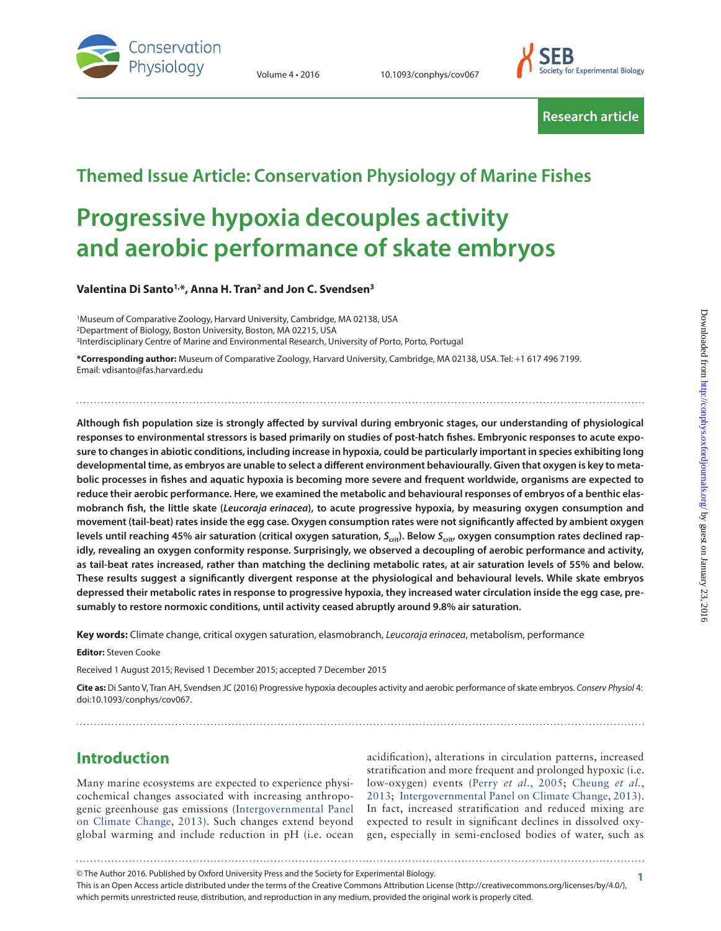



**Research article**

## **Themed Issue Article: Conservation Physiology of Marine Fishes**

# **Progressive hypoxia decouples activity and aerobic performance of skate embryos**

**Valentina Di Santo1,\*, Anna H. Tran2 and Jon C. Svendsen3**

<sup>1</sup>Museum of Comparative Zoology, Harvard University, Cambridge, MA 02138, USA 2Department of Biology, Boston University, Boston, MA 02215, USA 3Interdisciplinary Centre of Marine and Environmental Research, University of Porto, Porto, Portugal

**\*Corresponding author:** Museum of Comparative Zoology, Harvard University, Cambridge, MA 02138, USA. Tel: +1 617 496 7199. Email: vdisanto@fas.harvard.edu

**Although fish population size is strongly affected by survival during embryonic stages, our understanding of physiological responses to environmental stressors is based primarily on studies of post-hatch fishes. Embryonic responses to acute exposure to changes in abiotic conditions, including increase in hypoxia, could be particularly important in species exhibiting long developmental time, as embryos are unable to select a different environment behaviourally. Given that oxygen is key to metabolic processes in fishes and aquatic hypoxia is becoming more severe and frequent worldwide, organisms are expected to reduce their aerobic performance. Here, we examined the metabolic and behavioural responses of embryos of a benthic elasmobranch fish, the little skate (***Leucoraja erinacea***), to acute progressive hypoxia, by measuring oxygen consumption and movement (tail-beat) rates inside the egg case. Oxygen consumption rates were not significantly affected by ambient oxygen**  levels until reaching 45% air saturation (critical oxygen saturation, S<sub>crit</sub>). Below S<sub>crit</sub>, oxygen consumption rates declined rap**idly, revealing an oxygen conformity response. Surprisingly, we observed a decoupling of aerobic performance and activity, as tail-beat rates increased, rather than matching the declining metabolic rates, at air saturation levels of 55% and below. These results suggest a significantly divergent response at the physiological and behavioural levels. While skate embryos depressed their metabolic rates in response to progressive hypoxia, they increased water circulation inside the egg case, presumably to restore normoxic conditions, until activity ceased abruptly around 9.8% air saturation.**

**Key words:** Climate change, critical oxygen saturation, elasmobranch, *Leucoraja erinacea*, metabolism, performance

**Editor:** Steven Cooke

Received 1 August 2015; Revised 1 December 2015; accepted 7 December 2015

**Cite as:** Di Santo V, Tran AH, Svendsen JC (2016) Progressive hypoxia decouples activity and aerobic performance of skate embryos. *Conserv Physiol* 4: doi:10.1093/conphys/cov067.

## **Introduction**

Many marine ecosystems are expected to experience physicochemical changes associated with increasing anthropogenic greenhouse gas emissions [\(Intergovernmental Panel](#page-5-0) [on Climate Change, 2013](#page-5-0)). Such changes extend beyond global warming and include reduction in pH (i.e. ocean

acidification), alterations in circulation patterns, increased stratification and more frequent and prolonged hypoxic (i.e. low-oxygen) events (Perry *et al.*[, 2005;](#page-6-0) [Cheung](#page-5-1) *et al.*, [2013](#page-5-1); [Intergovernmental Panel on Climate Change, 2013\)](#page-5-0). In fact, increased stratification and reduced mixing are expected to result in significant declines in dissolved oxygen, especially in semi-enclosed bodies of water, such as

This is an Open Access article distributed under the terms of the Creative Commons Attribution License (http://creativecommons.org/licenses/by/4.0/), which permits unrestricted reuse, distribution, and reproduction in any medium, provided the original work is properly cited. © The Author 2016. Published by Oxford University Press and the Society for Experimental Biology. **1**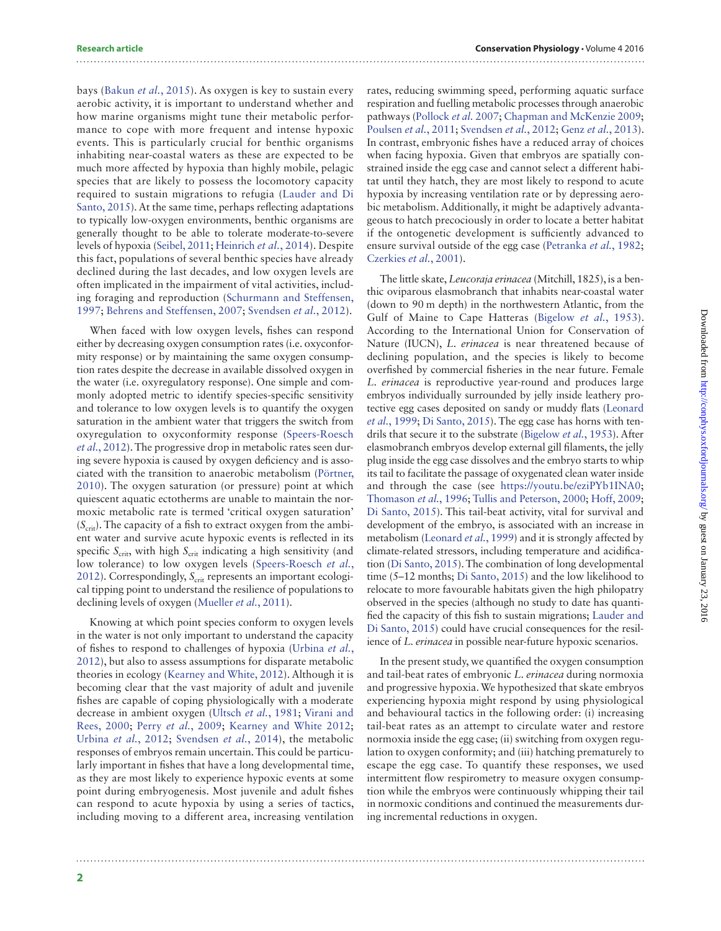bays ([Bakun](#page-5-2) *et al.*, 2015). As oxygen is key to sustain every aerobic activity, it is important to understand whether and how marine organisms might tune their metabolic performance to cope with more frequent and intense hypoxic events. This is particularly crucial for benthic organisms inhabiting near-coastal waters as these are expected to be much more affected by hypoxia than highly mobile, pelagic species that are likely to possess the locomotory capacity required to sustain migrations to refugia ([Lauder and Di](#page-6-1) [Santo, 2015](#page-6-1)). At the same time, perhaps reflecting adaptations to typically low-oxygen environments, benthic organisms are generally thought to be able to tolerate moderate-to-severe levels of hypoxia [\(Seibel, 2011;](#page-6-2) [Heinrich](#page-5-3) *et al.*, 2014). Despite this fact, populations of several benthic species have already declined during the last decades, and low oxygen levels are often implicated in the impairment of vital activities, including foraging and reproduction ([Schurmann and Steffensen,](#page-6-3) [1997;](#page-6-3) [Behrens and Steffensen, 2007;](#page-5-4) [Svendsen](#page-6-4) *et al.*, 2012).

When faced with low oxygen levels, fishes can respond either by decreasing oxygen consumption rates (i.e. oxyconformity response) or by maintaining the same oxygen consumption rates despite the decrease in available dissolved oxygen in the water (i.e. oxyregulatory response). One simple and commonly adopted metric to identify species-specific sensitivity and tolerance to low oxygen levels is to quantify the oxygen saturation in the ambient water that triggers the switch from oxyregulation to oxyconformity response ([Speers-Roesch](#page-6-5) *et al.*[, 2012\)](#page-6-5). The progressive drop in metabolic rates seen during severe hypoxia is caused by oxygen deficiency and is associated with the transition to anaerobic metabolism [\(Pörtner,](#page-6-6) [2010](#page-6-6)). The oxygen saturation (or pressure) point at which quiescent aquatic ectotherms are unable to maintain the normoxic metabolic rate is termed 'critical oxygen saturation' ( $S<sub>crit</sub>$ ). The capacity of a fish to extract oxygen from the ambient water and survive acute hypoxic events is reflected in its specific  $S_{\text{crit}}$ , with high  $S_{\text{crit}}$  indicating a high sensitivity (and low tolerance) to low oxygen levels ([Speers-Roesch](#page-6-5) *et al.*, [2012](#page-6-5)). Correspondingly, S<sub>crit</sub> represents an important ecological tipping point to understand the resilience of populations to declining levels of oxygen ([Mueller](#page-6-7) *et al.*, 2011).

Knowing at which point species conform to oxygen levels in the water is not only important to understand the capacity of fishes to respond to challenges of hypoxia [\(Urbina](#page-6-8) *et al.*, [2012](#page-6-8)), but also to assess assumptions for disparate metabolic theories in ecology [\(Kearney and White, 2012\)](#page-6-9). Although it is becoming clear that the vast majority of adult and juvenile fishes are capable of coping physiologically with a moderate decrease in ambient oxygen ([Ultsch](#page-6-10) *et al.*, 1981; [Virani and](#page-6-11) [Rees, 2000](#page-6-11); Perry *et al.*[, 2009;](#page-6-12) [Kearney and White 2012;](#page-6-9) [Urbina](#page-6-8) *et al.*, 2012; [Svendsen](#page-6-13) *et al.*, 2014), the metabolic responses of embryos remain uncertain. This could be particularly important in fishes that have a long developmental time, as they are most likely to experience hypoxic events at some point during embryogenesis. Most juvenile and adult fishes can respond to acute hypoxia by using a series of tactics, including moving to a different area, increasing ventilation

rates, reducing swimming speed, performing aquatic surface respiration and fuelling metabolic processes through anaerobic pathways [\(Pollock](#page-6-14) et al. 2007; [Chapman and McKenzie 2009;](#page-5-5) [Poulsen](#page-6-15) *et al.*, 2011; [Svendsen](#page-6-4) *et al.*, 2012; Genz *et al.*[, 2013\)](#page-5-6). In contrast, embryonic fishes have a reduced array of choices when facing hypoxia. Given that embryos are spatially constrained inside the egg case and cannot select a different habitat until they hatch, they are most likely to respond to acute hypoxia by increasing ventilation rate or by depressing aerobic metabolism. Additionally, it might be adaptively advantageous to hatch precociously in order to locate a better habitat if the ontogenetic development is sufficiently advanced to ensure survival outside of the egg case [\(Petranka](#page-6-16) *et al.*, 1982; [Czerkies](#page-5-7) *et al.*, 2001).

The little skate, *Leucoraja erinacea* (Mitchill, 1825), is a benthic oviparous elasmobranch that inhabits near-coastal water (down to 90 m depth) in the northwestern Atlantic, from the Gulf of Maine to Cape Hatteras ([Bigelow](#page-5-8) *et al.*, 1953). According to the International Union for Conservation of Nature (IUCN), *L. erinacea* is near threatened because of declining population, and the species is likely to become overfished by commercial fisheries in the near future. Female *L. erinacea* is reproductive year-round and produces large embryos individually surrounded by jelly inside leathery protective egg cases deposited on sandy or muddy flats [\(Leonard](#page-6-17) *et al.*[, 1999](#page-6-17); [Di Santo, 2015\)](#page-5-9). The egg case has horns with tendrils that secure it to the substrate [\(Bigelow](#page-5-8) *et al.*, 1953). After elasmobranch embryos develop external gill filaments, the jelly plug inside the egg case dissolves and the embryo starts to whip its tail to facilitate the passage of oxygenated clean water inside and through the case (see [https://youtu.be/eziPYb1INA0;](https://youtu.be/eziPYb1INA0) [Thomason](#page-6-18) *et al.*, 1996; [Tullis and Peterson, 2000;](#page-6-19) [Hoff, 2009;](#page-5-10) [Di Santo, 2015\)](#page-5-9). This tail-beat activity, vital for survival and development of the embryo, is associated with an increase in metabolism ([Leonard](#page-6-17) *et al.*, 1999) and it is strongly affected by climate-related stressors, including temperature and acidification [\(Di Santo, 2015\)](#page-5-9). The combination of long developmental time (5–12 months; [Di Santo, 2015\)](#page-5-9) and the low likelihood to relocate to more favourable habitats given the high philopatry observed in the species (although no study to date has quantified the capacity of this fish to sustain migrations; [Lauder and](#page-6-1) [Di Santo, 2015\)](#page-6-1) could have crucial consequences for the resilience of *L. erinacea* in possible near-future hypoxic scenarios.

In the present study, we quantified the oxygen consumption and tail-beat rates of embryonic *L. erinacea* during normoxia and progressive hypoxia. We hypothesized that skate embryos experiencing hypoxia might respond by using physiological and behavioural tactics in the following order: (i) increasing tail-beat rates as an attempt to circulate water and restore normoxia inside the egg case; (ii) switching from oxygen regulation to oxygen conformity; and (iii) hatching prematurely to escape the egg case. To quantify these responses, we used intermittent flow respirometry to measure oxygen consumption while the embryos were continuously whipping their tail in normoxic conditions and continued the measurements during incremental reductions in oxygen.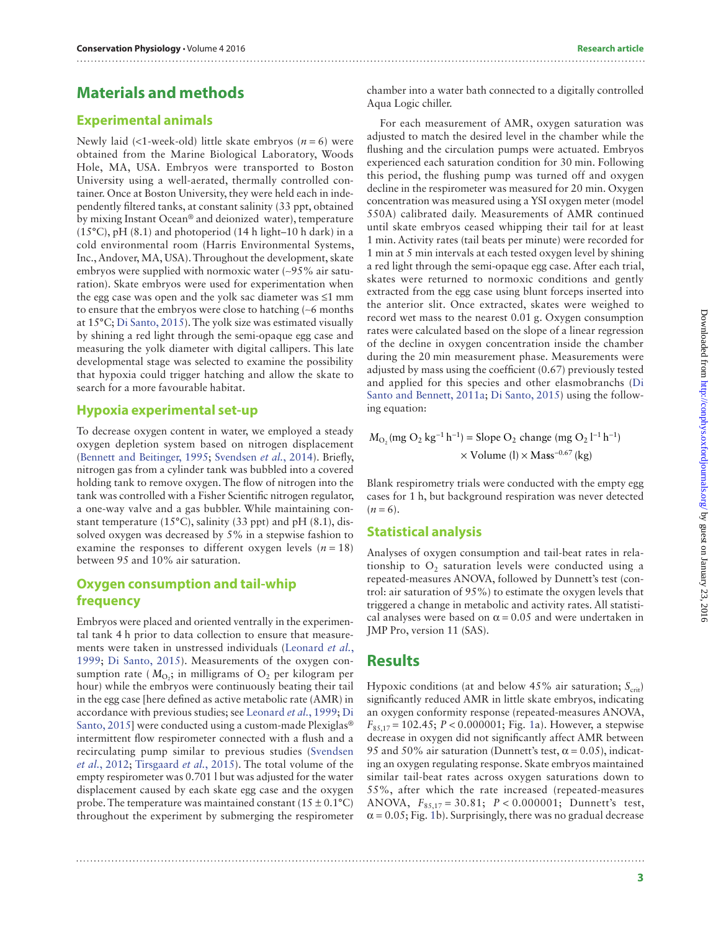## **Materials and methods**

#### **Experimental animals**

Newly laid (<1-week-old) little skate embryos  $(n = 6)$  were obtained from the Marine Biological Laboratory, Woods Hole, MA, USA. Embryos were transported to Boston University using a well-aerated, thermally controlled container. Once at Boston University, they were held each in independently filtered tanks, at constant salinity (33 ppt, obtained by mixing Instant Ocean® and deionized water), temperature  $(15^{\circ}C)$ , pH $(8.1)$  and photoperiod  $(14 \text{ h light-10 h dark})$  in a cold environmental room (Harris Environmental Systems, Inc., Andover, MA, USA). Throughout the development, skate embryos were supplied with normoxic water (∼95% air saturation). Skate embryos were used for experimentation when the egg case was open and the yolk sac diameter was ≤1 mm to ensure that the embryos were close to hatching (∼6 months at 15°C; [Di Santo, 2015\)](#page-5-9). The yolk size was estimated visually by shining a red light through the semi-opaque egg case and measuring the yolk diameter with digital callipers. This late developmental stage was selected to examine the possibility that hypoxia could trigger hatching and allow the skate to search for a more favourable habitat.

#### **Hypoxia experimental set-up**

To decrease oxygen content in water, we employed a steady oxygen depletion system based on nitrogen displacement [\(Bennett and Beitinger, 1995](#page-5-11); [Svendsen](#page-6-13) *et al.*, 2014). Briefly, nitrogen gas from a cylinder tank was bubbled into a covered holding tank to remove oxygen. The flow of nitrogen into the tank was controlled with a Fisher Scientific nitrogen regulator, a one-way valve and a gas bubbler. While maintaining constant temperature (15°C), salinity (33 ppt) and pH (8.1), dissolved oxygen was decreased by 5% in a stepwise fashion to examine the responses to different oxygen levels  $(n = 18)$ between 95 and 10% air saturation.

#### **Oxygen consumption and tail-whip frequency**

Embryos were placed and oriented ventrally in the experimental tank 4 h prior to data collection to ensure that measurements were taken in unstressed individuals [\(Leonard](#page-6-17) *et al.*, [1999;](#page-6-17) [Di Santo, 2015\)](#page-5-9). Measurements of the oxygen consumption rate ( $M_{\text{O}_2}$ ; in milligrams of  $\text{O}_2$  per kilogram per hour) while the embryos were continuously beating their tail in the egg case [here defined as active metabolic rate (AMR) in accordance with previous studies; see [Leonard](#page-6-17) *et al.*, 1999; [Di](#page-5-9) [Santo, 2015](#page-5-9)] were conducted using a custom-made Plexiglas® intermittent flow respirometer connected with a flush and a recirculating pump similar to previous studies ([Svendsen](#page-6-4) *et al.*[, 2012;](#page-6-4) [Tirsgaard](#page-6-20) *et al.*, 2015). The total volume of the empty respirometer was 0.701 l but was adjusted for the water displacement caused by each skate egg case and the oxygen probe. The temperature was maintained constant ( $15 \pm 0.1$ °C) throughout the experiment by submerging the respirometer

chamber into a water bath connected to a digitally controlled Aqua Logic chiller.

For each measurement of AMR, oxygen saturation was adjusted to match the desired level in the chamber while the flushing and the circulation pumps were actuated. Embryos experienced each saturation condition for 30 min. Following this period, the flushing pump was turned off and oxygen decline in the respirometer was measured for 20 min. Oxygen concentration was measured using a YSI oxygen meter (model 550A) calibrated daily. Measurements of AMR continued until skate embryos ceased whipping their tail for at least 1 min. Activity rates (tail beats per minute) were recorded for 1 min at 5 min intervals at each tested oxygen level by shining a red light through the semi-opaque egg case. After each trial, skates were returned to normoxic conditions and gently extracted from the egg case using blunt forceps inserted into the anterior slit. Once extracted, skates were weighed to record wet mass to the nearest 0.01 g. Oxygen consumption rates were calculated based on the slope of a linear regression of the decline in oxygen concentration inside the chamber during the 20 min measurement phase. Measurements were adjusted by mass using the coefficient (0.67) previously tested and applied for this species and other elasmobranchs [\(Di](#page-5-12) [Santo and Bennett, 2011a](#page-5-12); [Di Santo, 2015\)](#page-5-9) using the following equation:

 $M_{\text{O}_2}$  (mg  $\text{O}_2$  kg<sup>-1</sup> h<sup>-1</sup>) = Slope  $\text{O}_2$  change (mg  $\text{O}_2$  l<sup>-1</sup> h<sup>-1</sup>)  $\times$  Volume (l)  $\times$  Mass<sup>-0.67</sup> (kg)

Blank respirometry trials were conducted with the empty egg cases for 1 h, but background respiration was never detected  $(n=6)$ .

#### **Statistical analysis**

Analyses of oxygen consumption and tail-beat rates in relationship to  $O<sub>2</sub>$  saturation levels were conducted using a repeated-measures ANOVA, followed by Dunnett's test (control: air saturation of 95%) to estimate the oxygen levels that triggered a change in metabolic and activity rates. All statistical analyses were based on  $\alpha$  = 0.05 and were undertaken in JMP Pro, version 11 (SAS).

#### **Results**

Hypoxic conditions (at and below  $45\%$  air saturation;  $S_{\text{crit}}$ ) significantly reduced AMR in little skate embryos, indicating an oxygen conformity response (repeated-measures ANOVA, *F*85,17 = 102.45; *P* < 0.000001; Fig. [1a](#page-3-0)). However, a stepwise decrease in oxygen did not significantly affect AMR between 95 and 50% air saturation (Dunnett's test,  $\alpha$  = 0.05), indicating an oxygen regulating response. Skate embryos maintained similar tail-beat rates across oxygen saturations down to 55%, after which the rate increased (repeated-measures ANOVA, *F*85,17 = 30.81; *P* < 0.000001; Dunnett's test,  $\alpha$  = 0.05; Fig. [1](#page-3-0)b). Surprisingly, there was no gradual decrease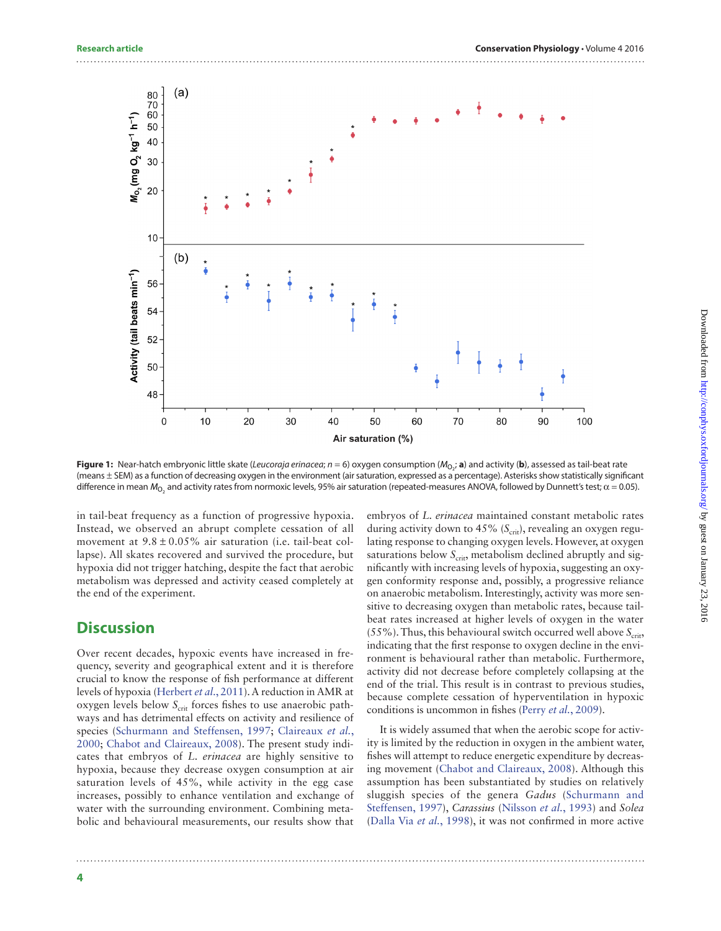

<span id="page-3-0"></span>**Figure 1:** Near-hatch embryonic little skate (*Leucoraja erinacea; n =* 6) oxygen consumption (M<sub>O2</sub>; **a**) and activity (**b**), assessed as tail-beat rate (means ± SEM) as a function of decreasing oxygen in the environment (air saturation, expressed as a percentage). Asterisks show statistically significant difference in mean  $M_{\rm O_2}$  and activity rates from normoxic levels, 95% air saturation (repeated-measures ANOVA, followed by Dunnett's test;  $\alpha$  = 0.05).

in tail-beat frequency as a function of progressive hypoxia. Instead, we observed an abrupt complete cessation of all movement at  $9.8 \pm 0.05\%$  air saturation (i.e. tail-beat collapse). All skates recovered and survived the procedure, but hypoxia did not trigger hatching, despite the fact that aerobic metabolism was depressed and activity ceased completely at the end of the experiment.

#### **Discussion**

Over recent decades, hypoxic events have increased in frequency, severity and geographical extent and it is therefore crucial to know the response of fish performance at different levels of hypoxia [\(Herbert](#page-5-13) *et al*., 2011). A reduction in AMR at oxygen levels below S<sub>crit</sub> forces fishes to use anaerobic pathways and has detrimental effects on activity and resilience of species ([Schurmann and Steffensen, 1997](#page-6-3); [Claireaux](#page-5-14) *et al.*, [2000](#page-5-14); [Chabot and Claireaux, 2008](#page-5-15)). The present study indicates that embryos of *L. erinacea* are highly sensitive to hypoxia, because they decrease oxygen consumption at air saturation levels of 45%, while activity in the egg case increases, possibly to enhance ventilation and exchange of water with the surrounding environment. Combining metabolic and behavioural measurements, our results show that

embryos of *L. erinacea* maintained constant metabolic rates during activity down to 45% (S<sub>crit</sub>), revealing an oxygen regulating response to changing oxygen levels. However, at oxygen saturations below  $S_{\text{crit}}$ , metabolism declined abruptly and significantly with increasing levels of hypoxia, suggesting an oxygen conformity response and, possibly, a progressive reliance on anaerobic metabolism. Interestingly, activity was more sensitive to decreasing oxygen than metabolic rates, because tailbeat rates increased at higher levels of oxygen in the water  $(55\%)$ . Thus, this behavioural switch occurred well above  $S_{\text{crit}}$ , indicating that the first response to oxygen decline in the environment is behavioural rather than metabolic. Furthermore, activity did not decrease before completely collapsing at the end of the trial. This result is in contrast to previous studies, because complete cessation of hyperventilation in hypoxic conditions is uncommon in fishes (Perry *et al.*[, 2009\)](#page-6-12).

It is widely assumed that when the aerobic scope for activity is limited by the reduction in oxygen in the ambient water, fishes will attempt to reduce energetic expenditure by decreasing movement [\(Chabot and Claireaux, 2008\)](#page-5-15). Although this assumption has been substantiated by studies on relatively sluggish species of the genera *Gadus* ([Schurmann and](#page-6-3) [Steffensen, 1997\)](#page-6-3), *Carassius* [\(Nilsson](#page-6-21) *et al.*, 1993) and *Solea* ([Dalla Via](#page-5-16) *et al.*, 1998), it was not confirmed in more active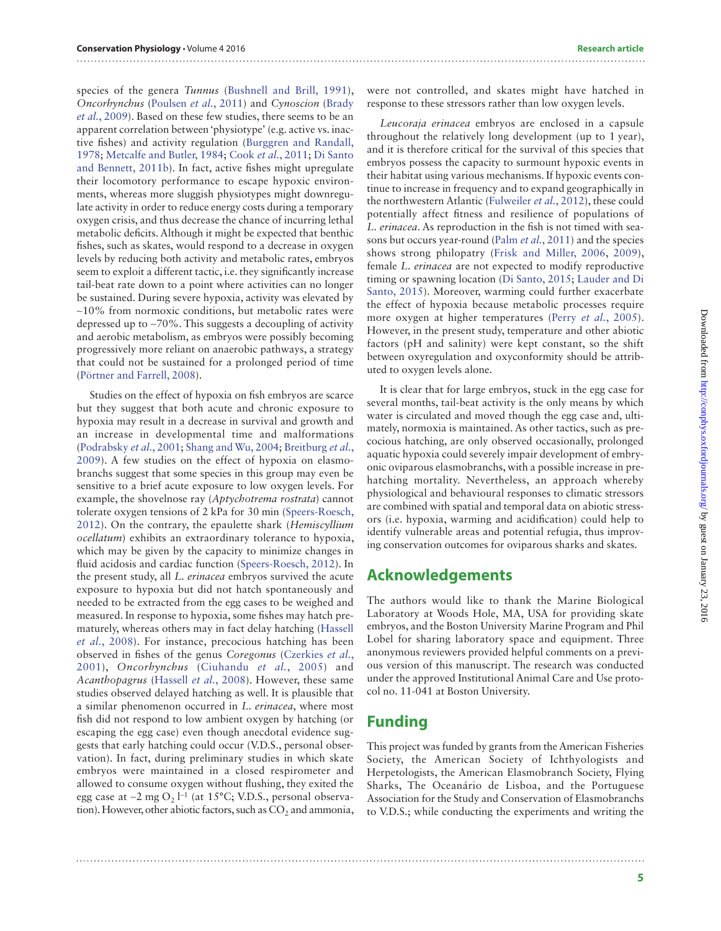species of the genera *Tunnus* ([Bushnell and Brill, 1991](#page-5-17)), *Oncorhynchus* ([Poulsen](#page-6-15) *et al.*, 2011) and *Cynoscion* [\(Brady](#page-5-18) *et al.*[, 2009\)](#page-5-18). Based on these few studies, there seems to be an apparent correlation between 'physiotype' (e.g. active vs. inactive fishes) and activity regulation [\(Burggren and Randall,](#page-5-19) [1978](#page-5-19); [Metcalfe and Butler, 1984](#page-6-22); Cook *et al.*[, 2011;](#page-5-20) [Di Santo](#page-5-21) [and Bennett, 2011b](#page-5-21)). In fact, active fishes might upregulate their locomotory performance to escape hypoxic environments, whereas more sluggish physiotypes might downregulate activity in order to reduce energy costs during a temporary oxygen crisis, and thus decrease the chance of incurring lethal metabolic deficits. Although it might be expected that benthic fishes, such as skates, would respond to a decrease in oxygen levels by reducing both activity and metabolic rates, embryos seem to exploit a different tactic, i.e. they significantly increase tail-beat rate down to a point where activities can no longer be sustained. During severe hypoxia, activity was elevated by ∼10% from normoxic conditions, but metabolic rates were depressed up to ∼70%. This suggests a decoupling of activity and aerobic metabolism, as embryos were possibly becoming progressively more reliant on anaerobic pathways, a strategy that could not be sustained for a prolonged period of time [\(Pörtner and Farrell, 2008](#page-6-23)).

Studies on the effect of hypoxia on fish embryos are scarce but they suggest that both acute and chronic exposure to hypoxia may result in a decrease in survival and growth and an increase in developmental time and malformations [\(Podrabsky](#page-6-24) *et al.*, 2001; [Shang and Wu, 2004](#page-6-25); [Breitburg](#page-5-22) *et al.*, [2009\)](#page-5-22). A few studies on the effect of hypoxia on elasmobranchs suggest that some species in this group may even be sensitive to a brief acute exposure to low oxygen levels. For example, the shovelnose ray (*Aptychotrema rostrata*) cannot tolerate oxygen tensions of 2 kPa for 30 min ([Speers-Roesch,](#page-6-5) [2012](#page-6-5)). On the contrary, the epaulette shark (*Hemiscyllium ocellatum*) exhibits an extraordinary tolerance to hypoxia, which may be given by the capacity to minimize changes in fluid acidosis and cardiac function [\(Speers-Roesch, 2012\)](#page-6-5). In the present study, all *L. erinacea* embryos survived the acute exposure to hypoxia but did not hatch spontaneously and needed to be extracted from the egg cases to be weighed and measured. In response to hypoxia, some fishes may hatch prematurely, whereas others may in fact delay hatching [\(Hassell](#page-5-23) *et al.*[, 2008](#page-5-23)). For instance, precocious hatching has been observed in fishes of the genus *Coregonus* [\(Czerkies](#page-5-7) *et al.*, [2001](#page-5-7)), *Oncorhynchus* ([Ciuhandu](#page-5-24) *et al.*, 2005) and *Acanthopagrus* [\(Hassell](#page-5-23) *et al.*, 2008). However, these same studies observed delayed hatching as well. It is plausible that a similar phenomenon occurred in *L. erinacea*, where most fish did not respond to low ambient oxygen by hatching (or escaping the egg case) even though anecdotal evidence suggests that early hatching could occur (V.D.S., personal observation). In fact, during preliminary studies in which skate embryos were maintained in a closed respirometer and allowed to consume oxygen without flushing, they exited the egg case at ~2 mg O<sub>2</sub> l<sup>−1</sup> (at 15°C; V.D.S., personal observation). However, other abiotic factors, such as  $CO<sub>2</sub>$  and ammonia, were not controlled, and skates might have hatched in response to these stressors rather than low oxygen levels.

*Leucoraja erinacea* embryos are enclosed in a capsule throughout the relatively long development (up to 1 year), and it is therefore critical for the survival of this species that embryos possess the capacity to surmount hypoxic events in their habitat using various mechanisms. If hypoxic events continue to increase in frequency and to expand geographically in the northwestern Atlantic [\(Fulweiler](#page-5-25) *et al.*, 2012), these could potentially affect fitness and resilience of populations of *L. erinacea*. As reproduction in the fish is not timed with seasons but occurs year-round (Palm *et al.*[, 2011\)](#page-6-26) and the species shows strong philopatry ([Frisk and Miller, 2006,](#page-5-26) [2009\)](#page-5-27), female *L. erinacea* are not expected to modify reproductive timing or spawning location ([Di Santo, 2015;](#page-5-9) [Lauder and Di](#page-6-1) [Santo, 2015\)](#page-6-1). Moreover, warming could further exacerbate the effect of hypoxia because metabolic processes require more oxygen at higher temperatures (Perry *et al.*[, 2005\)](#page-6-0). However, in the present study, temperature and other abiotic factors (pH and salinity) were kept constant, so the shift between oxyregulation and oxyconformity should be attributed to oxygen levels alone.

It is clear that for large embryos, stuck in the egg case for several months, tail-beat activity is the only means by which water is circulated and moved though the egg case and, ultimately, normoxia is maintained. As other tactics, such as precocious hatching, are only observed occasionally, prolonged aquatic hypoxia could severely impair development of embryonic oviparous elasmobranchs, with a possible increase in prehatching mortality. Nevertheless, an approach whereby physiological and behavioural responses to climatic stressors are combined with spatial and temporal data on abiotic stressors (i.e. hypoxia, warming and acidification) could help to identify vulnerable areas and potential refugia, thus improving conservation outcomes for oviparous sharks and skates.

### **Acknowledgements**

The authors would like to thank the Marine Biological Laboratory at Woods Hole, MA, USA for providing skate embryos, and the Boston University Marine Program and Phil Lobel for sharing laboratory space and equipment. Three anonymous reviewers provided helpful comments on a previous version of this manuscript. The research was conducted under the approved Institutional Animal Care and Use protocol no. 11-041 at Boston University.

## **Funding**

This project was funded by grants from the American Fisheries Society, the American Society of Ichthyologists and Herpetologists, the American Elasmobranch Society, Flying Sharks, The Oceanário de Lisboa, and the Portuguese Association for the Study and Conservation of Elasmobranchs to V.D.S.; while conducting the experiments and writing the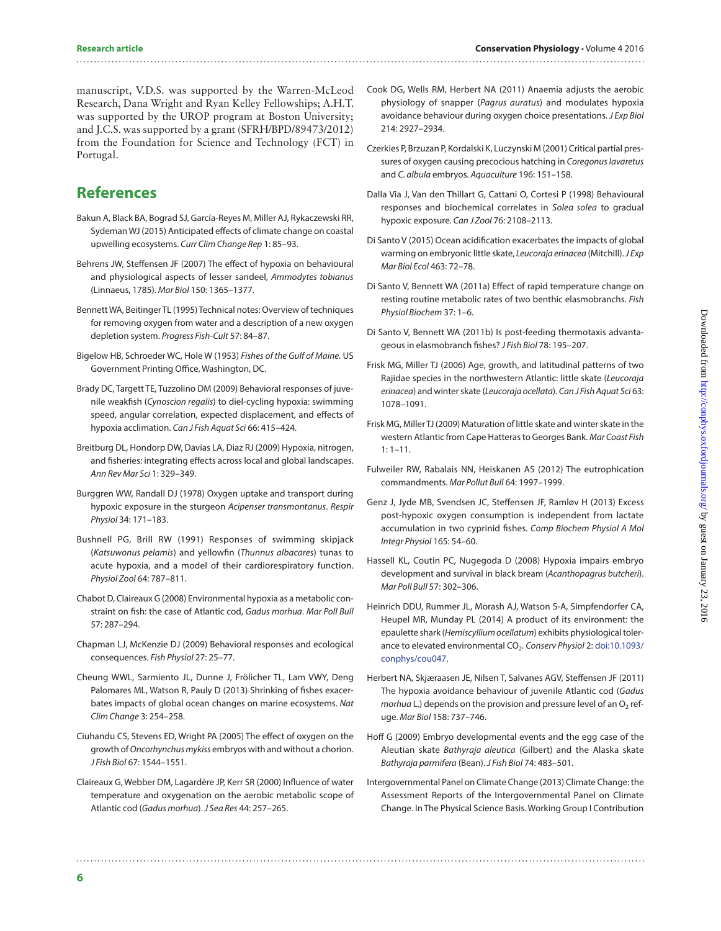#### 

manuscript, V.D.S. was supported by the Warren-McLeod Research, Dana Wright and Ryan Kelley Fellowships; A.H.T. was supported by the UROP program at Boston University; and J.C.S. was supported by a grant (SFRH/BPD/89473/2012) from the Foundation for Science and Technology (FCT) in Portugal.

## **References**

- <span id="page-5-2"></span>Bakun A, Black BA, Bograd SJ, García-Reyes M, Miller AJ, Rykaczewski RR, Sydeman WJ (2015) Anticipated effects of climate change on coastal upwelling ecosystems. *Curr Clim Change Rep* 1: 85–93.
- <span id="page-5-4"></span>Behrens JW, Steffensen JF (2007) The effect of hypoxia on behavioural and physiological aspects of lesser sandeel, *Ammodytes tobianus* (Linnaeus, 1785). *Mar Biol* 150: 1365–1377.
- <span id="page-5-11"></span>Bennett WA, Beitinger TL (1995) Technical notes: Overview of techniques for removing oxygen from water and a description of a new oxygen depletion system. *Progress Fish-Cult* 57: 84–87.
- <span id="page-5-8"></span>Bigelow HB, Schroeder WC, Hole W (1953) *Fishes of the Gulf of Maine*. US Government Printing Office, Washington, DC.
- <span id="page-5-18"></span>Brady DC, Targett TE, Tuzzolino DM (2009) Behavioral responses of juvenile weakfish (*Cynoscion regalis*) to diel-cycling hypoxia: swimming speed, angular correlation, expected displacement, and effects of hypoxia acclimation. *Can J Fish Aquat Sci* 66: 415–424.
- <span id="page-5-22"></span>Breitburg DL, Hondorp DW, Davias LA, Diaz RJ (2009) Hypoxia, nitrogen, and fisheries: integrating effects across local and global landscapes. *Ann Rev Mar Sci* 1: 329–349.
- <span id="page-5-19"></span>Burggren WW, Randall DJ (1978) Oxygen uptake and transport during hypoxic exposure in the sturgeon *Acipenser transmontanus*. *Respir Physiol* 34: 171–183.
- <span id="page-5-17"></span>Bushnell PG, Brill RW (1991) Responses of swimming skipjack (*Katsuwonus pelamis*) and yellowfin (*Thunnus albacares*) tunas to acute hypoxia, and a model of their cardiorespiratory function. *Physiol Zool* 64: 787–811.
- <span id="page-5-15"></span>Chabot D, Claireaux G (2008) Environmental hypoxia as a metabolic constraint on fish: the case of Atlantic cod, *Gadus morhua*. *Mar Poll Bull* 57: 287–294.
- <span id="page-5-5"></span>Chapman LJ, McKenzie DJ (2009) Behavioral responses and ecological consequences. *Fish Physiol* 27: 25–77.
- <span id="page-5-1"></span>Cheung WWL, Sarmiento JL, Dunne J, Frölicher TL, Lam VWY, Deng Palomares ML, Watson R, Pauly D (2013) Shrinking of fishes exacerbates impacts of global ocean changes on marine ecosystems. *Nat Clim Change* 3: 254–258.
- <span id="page-5-24"></span>Ciuhandu CS, Stevens ED, Wright PA (2005) The effect of oxygen on the growth of *Oncorhynchus mykiss* embryos with and without a chorion. *J Fish Biol* 67: 1544–1551.
- <span id="page-5-14"></span>Claireaux G, Webber DM, Lagardère JP, Kerr SR (2000) Influence of water temperature and oxygenation on the aerobic metabolic scope of Atlantic cod (*Gadus morhua*). *J Sea Res* 44: 257–265.
- <span id="page-5-20"></span>Cook DG, Wells RM, Herbert NA (2011) Anaemia adjusts the aerobic physiology of snapper (*Pagrus auratus*) and modulates hypoxia avoidance behaviour during oxygen choice presentations. *J Exp Biol* 214: 2927–2934.
- <span id="page-5-7"></span>Czerkies P, Brzuzan P, Kordalski K, Luczynski M (2001) Critical partial pressures of oxygen causing precocious hatching in *Coregonus lavaretus* and *C. albula* embryos. *Aquaculture* 196: 151–158.
- <span id="page-5-16"></span>Dalla Via J, Van den Thillart G, Cattani O, Cortesi P (1998) Behavioural responses and biochemical correlates in *Solea solea* to gradual hypoxic exposure. *Can J Zool* 76: 2108–2113.
- <span id="page-5-9"></span>Di Santo V (2015) Ocean acidification exacerbates the impacts of global warming on embryonic little skate, *Leucoraja erinacea* (Mitchill). *J Exp Mar Biol Ecol* 463: 72–78.
- <span id="page-5-12"></span>Di Santo V, Bennett WA (2011a) Effect of rapid temperature change on resting routine metabolic rates of two benthic elasmobranchs. *Fish Physiol Biochem* 37: 1–6.
- <span id="page-5-21"></span>Di Santo V, Bennett WA (2011b) Is post-feeding thermotaxis advantageous in elasmobranch fishes? *J Fish Biol* 78: 195–207.
- <span id="page-5-26"></span>Frisk MG, Miller TJ (2006) Age, growth, and latitudinal patterns of two Rajidae species in the northwestern Atlantic: little skate (*Leucoraja erinacea*) and winter skate (*Leucoraja ocellata*). *Can J Fish Aquat Sci* 63: 1078–1091.
- <span id="page-5-27"></span>Frisk MG, Miller TJ (2009) Maturation of little skate and winter skate in the western Atlantic from Cape Hatteras to Georges Bank. *Mar Coast Fish* 1: 1–11.
- <span id="page-5-25"></span>Fulweiler RW, Rabalais NN, Heiskanen AS (2012) The eutrophication commandments. *Mar Pollut Bull* 64: 1997–1999.
- <span id="page-5-6"></span>Genz J, Jyde MB, Svendsen JC, Steffensen JF, Ramløv H (2013) Excess post-hypoxic oxygen consumption is independent from lactate accumulation in two cyprinid fishes. *Comp Biochem Physiol A Mol Integr Physiol* 165: 54–60.
- <span id="page-5-23"></span>Hassell KL, Coutin PC, Nugegoda D (2008) Hypoxia impairs embryo development and survival in black bream (*Acanthopagrus butcheri*). *Mar Poll Bull* 57: 302–306.
- <span id="page-5-3"></span>Heinrich DDU, Rummer JL, Morash AJ, Watson S-A, Simpfendorfer CA, Heupel MR, Munday PL (2014) A product of its environment: the epaulette shark (*Hemiscyllium ocellatum*) exhibits physiological tolerance to elevated environmental CO2. *Conserv Physiol* 2: [doi:10.1093/](http://dx.doi.org/10.1093/conphys/cou047) [conphys/cou047](http://dx.doi.org/10.1093/conphys/cou047).
- <span id="page-5-13"></span>Herbert NA, Skjæraasen JE, Nilsen T, Salvanes AGV, Steffensen JF (2011) The hypoxia avoidance behaviour of juvenile Atlantic cod (*Gadus morhua* L.) depends on the provision and pressure level of an O<sub>2</sub> refuge. *Mar Biol* 158: 737–746.
- <span id="page-5-10"></span>Hoff G (2009) Embryo developmental events and the egg case of the Aleutian skate *Bathyraja aleutica* (Gilbert) and the Alaska skate *Bathyraja parmifera* (Bean). *J Fish Biol* 74: 483–501.
- <span id="page-5-0"></span>Intergovernmental Panel on Climate Change (2013) Climate Change: the Assessment Reports of the Intergovernmental Panel on Climate Change. In The Physical Science Basis. Working Group I Contribution